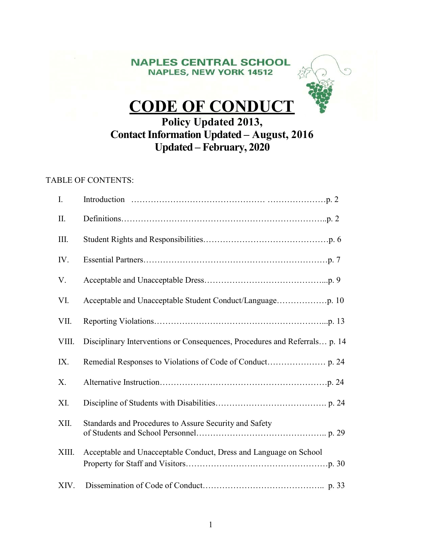# **NAPLES CENTRAL SCHOOL NAPLES, NEW YORK 14512**



# CODE OF CONDUCT

# Policy Updated 2013, Contact Information Updated – August, 2016 Updated – February, 2020

# TABLE OF CONTENTS:

| I.    |                                                                            |
|-------|----------------------------------------------------------------------------|
| II.   |                                                                            |
| III.  |                                                                            |
| IV.   |                                                                            |
| V.    |                                                                            |
| VI.   |                                                                            |
| VII.  |                                                                            |
| VIII. | Disciplinary Interventions or Consequences, Procedures and Referrals p. 14 |
| IX.   |                                                                            |
| X.    |                                                                            |
| XI.   |                                                                            |
| XII.  | Standards and Procedures to Assure Security and Safety                     |
| XIII. | Acceptable and Unacceptable Conduct, Dress and Language on School          |
| XIV.  |                                                                            |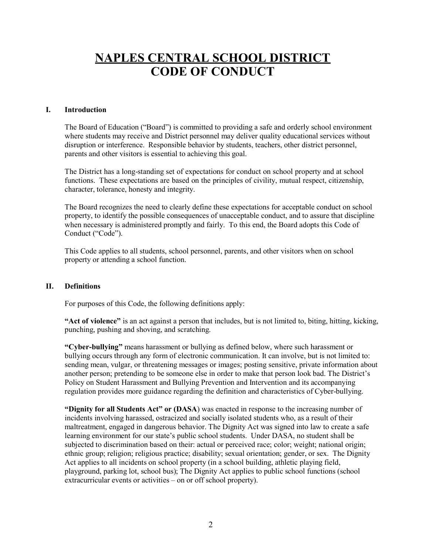# NAPLES CENTRAL SCHOOL DISTRICT CODE OF CONDUCT

#### I. Introduction

The Board of Education ("Board") is committed to providing a safe and orderly school environment where students may receive and District personnel may deliver quality educational services without disruption or interference. Responsible behavior by students, teachers, other district personnel, parents and other visitors is essential to achieving this goal.

The District has a long-standing set of expectations for conduct on school property and at school functions. These expectations are based on the principles of civility, mutual respect, citizenship, character, tolerance, honesty and integrity.

The Board recognizes the need to clearly define these expectations for acceptable conduct on school property, to identify the possible consequences of unacceptable conduct, and to assure that discipline when necessary is administered promptly and fairly. To this end, the Board adopts this Code of Conduct ("Code").

This Code applies to all students, school personnel, parents, and other visitors when on school property or attending a school function.

#### II. Definitions

For purposes of this Code, the following definitions apply:

"Act of violence" is an act against a person that includes, but is not limited to, biting, hitting, kicking, punching, pushing and shoving, and scratching.

"Cyber-bullying" means harassment or bullying as defined below, where such harassment or bullying occurs through any form of electronic communication. It can involve, but is not limited to: sending mean, vulgar, or threatening messages or images; posting sensitive, private information about another person; pretending to be someone else in order to make that person look bad. The District's Policy on Student Harassment and Bullying Prevention and Intervention and its accompanying regulation provides more guidance regarding the definition and characteristics of Cyber-bullying.

"Dignity for all Students Act" or (DASA) was enacted in response to the increasing number of incidents involving harassed, ostracized and socially isolated students who, as a result of their maltreatment, engaged in dangerous behavior. The Dignity Act was signed into law to create a safe learning environment for our state's public school students. Under DASA, no student shall be subjected to discrimination based on their: actual or perceived race; color; weight; national origin; ethnic group; religion; religious practice; disability; sexual orientation; gender, or sex. The Dignity Act applies to all incidents on school property (in a school building, athletic playing field, playground, parking lot, school bus); The Dignity Act applies to public school functions (school extracurricular events or activities – on or off school property).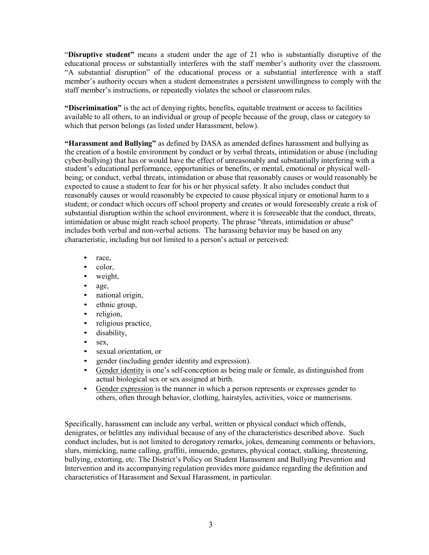"Disruptive student" means a student under the age of 21 who is substantially disruptive of the educational process or substantially interferes with the staff member's authority over the classroom. "A substantial disruption" of the educational process or a substantial interference with a staff member's authority occurs when a student demonstrates a persistent unwillingness to comply with the staff member's instructions, or repeatedly violates the school or classroom rules.

"Discrimination" is the act of denying rights, benefits, equitable treatment or access to facilities available to all others, to an individual or group of people because of the group, class or category to which that person belongs (as listed under Harassment, below).

"Harassment and Bullying" as defined by DASA as amended defines harassment and bullying as the creation of a hostile environment by conduct or by verbal threats, intimidation or abuse (including cyber-bullying) that has or would have the effect of unreasonably and substantially interfering with a student's educational performance, opportunities or benefits, or mental, emotional or physical wellbeing; or conduct, verbal threats, intimidation or abuse that reasonably causes or would reasonably be expected to cause a student to fear for his or her physical safety. It also includes conduct that reasonably causes or would reasonably be expected to cause physical injury or emotional harm to a student; or conduct which occurs off school property and creates or would foreseeably create a risk of substantial disruption within the school environment, where it is foreseeable that the conduct, threats, intimidation or abuse might reach school property. The phrase "threats, intimidation or abuse" includes both verbal and non-verbal actions. The harassing behavior may be based on any characteristic, including but not limited to a person's actual or perceived:

- race,
- color,
- weight,
- age,
- national origin,
- ethnic group,
- religion,
- religious practice,
- disability.
- sex,
- sexual orientation, or
- 
- expediential gender identity and expression.<br>
<u>Gender identity</u> is one's self-conception as being male or female, as distinguished from actual biological sex or sex assigned at birth.
- Gender expression is the manner in which a person represents or expresses gender to others, often through behavior, clothing, hairstyles, activities, voice or mannerisms.

Specifically, harassment can include any verbal, written or physical conduct which offends, denigrates, or belittles any individual because of any of the characteristics described above. Such conduct includes, but is not limited to derogatory remarks, jokes, demeaning comments or behaviors, slurs, mimicking, name calling, graffiti, innuendo, gestures, physical contact, stalking, threatening, bullying, extorting, etc. The District's Policy on Student Harassment and Bullying Prevention and Intervention and its accompanying regulation provides more guidance regarding the definition and characteristics of Harassment and Sexual Harassment, in particular.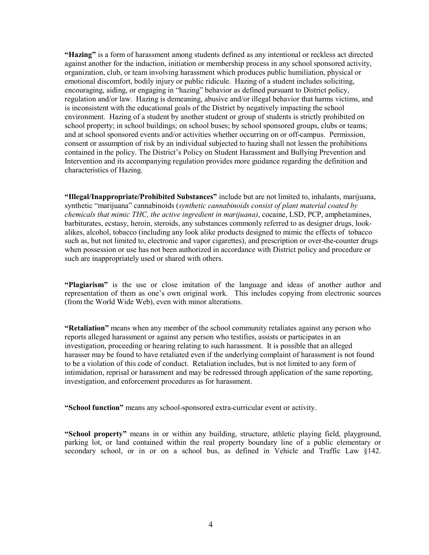"Hazing" is a form of harassment among students defined as any intentional or reckless act directed against another for the induction, initiation or membership process in any school sponsored activity, organization, club, or team involving harassment which produces public humiliation, physical or emotional discomfort, bodily injury or public ridicule. Hazing of a student includes soliciting, encouraging, aiding, or engaging in "hazing" behavior as defined pursuant to District policy, regulation and/or law. Hazing is demeaning, abusive and/or illegal behavior that harms victims, and is inconsistent with the educational goals of the District by negatively impacting the school environment. Hazing of a student by another student or group of students is strictly prohibited on school property; in school buildings; on school buses; by school sponsored groups, clubs or teams; and at school sponsored events and/or activities whether occurring on or off-campus. Permission, consent or assumption of risk by an individual subjected to hazing shall not lessen the prohibitions contained in the policy. The District's Policy on Student Harassment and Bullying Prevention and Intervention and its accompanying regulation provides more guidance regarding the definition and characteristics of Hazing.

"Illegal/Inappropriate/Prohibited Substances" include but are not limited to, inhalants, marijuana, synthetic "marijuana" cannabinoids (synthetic cannabinoids consist of plant material coated by chemicals that mimic THC, the active ingredient in marijuana), cocaine, LSD, PCP, amphetamines, barbiturates, ecstasy, heroin, steroids, any substances commonly referred to as designer drugs, lookalikes, alcohol, tobacco (including any look alike products designed to mimic the effects of tobacco such as, but not limited to, electronic and vapor cigarettes), and prescription or over-the-counter drugs when possession or use has not been authorized in accordance with District policy and procedure or such are inappropriately used or shared with others.

"Plagiarism" is the use or close imitation of the language and ideas of another author and representation of them as one's own original work. This includes copying from electronic sources (from the World Wide Web), even with minor alterations.

"Retaliation" means when any member of the school community retaliates against any person who reports alleged harassment or against any person who testifies, assists or participates in an investigation, proceeding or hearing relating to such harassment. It is possible that an alleged harasser may be found to have retaliated even if the underlying complaint of harassment is not found to be a violation of this code of conduct. Retaliation includes, but is not limited to any form of intimidation, reprisal or harassment and may be redressed through application of the same reporting, investigation, and enforcement procedures as for harassment.

"School function" means any school-sponsored extra-curricular event or activity.

"School property" means in or within any building, structure, athletic playing field, playground, parking lot, or land contained within the real property boundary line of a public elementary or secondary school, or in or on a school bus, as defined in Vehicle and Traffic Law §142.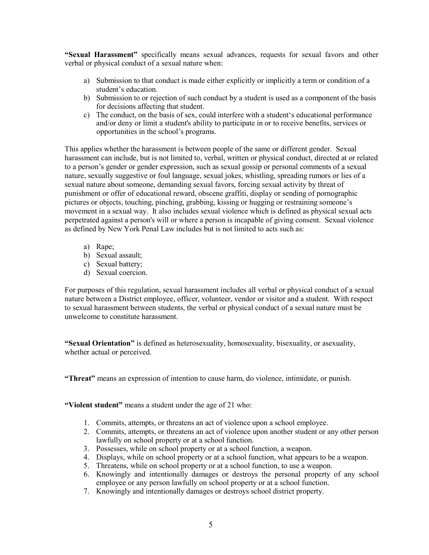"Sexual Harassment" specifically means sexual advances, requests for sexual favors and other verbal or physical conduct of a sexual nature when:

- a) Submission to that conduct is made either explicitly or implicitly a term or condition of a student's education.
- b) Submission to or rejection of such conduct by a student is used as a component of the basis for decisions affecting that student.
- c) The conduct, on the basis of sex, could interfere with a student's educational performance and/or deny or limit a student's ability to participate in or to receive benefits, services or opportunities in the school's programs.

This applies whether the harassment is between people of the same or different gender. Sexual harassment can include, but is not limited to, verbal, written or physical conduct, directed at or related to a person's gender or gender expression, such as sexual gossip or personal comments of a sexual nature, sexually suggestive or foul language, sexual jokes, whistling, spreading rumors or lies of a sexual nature about someone, demanding sexual favors, forcing sexual activity by threat of punishment or offer of educational reward, obscene graffiti, display or sending of pornographic pictures or objects, touching, pinching, grabbing, kissing or hugging or restraining someone's movement in a sexual way. It also includes sexual violence which is defined as physical sexual acts perpetrated against a person's will or where a person is incapable of giving consent. Sexual violence as defined by New York Penal Law includes but is not limited to acts such as:

- a) Rape;
- b) Sexual assault;
- c) Sexual battery;
- d) Sexual coercion.

For purposes of this regulation, sexual harassment includes all verbal or physical conduct of a sexual nature between a District employee, officer, volunteer, vendor or visitor and a student. With respect to sexual harassment between students, the verbal or physical conduct of a sexual nature must be unwelcome to constitute harassment.

"Sexual Orientation" is defined as heterosexuality, homosexuality, bisexuality, or asexuality, whether actual or perceived.

"Threat" means an expression of intention to cause harm, do violence, intimidate, or punish.

"Violent student" means a student under the age of 21 who:

- 1. Commits, attempts, or threatens an act of violence upon a school employee.
- 2. Commits, attempts, or threatens an act of violence upon another student or any other person lawfully on school property or at a school function.
- 3. Possesses, while on school property or at a school function, a weapon.
- 4. Displays, while on school property or at a school function, what appears to be a weapon.
- 5. Threatens, while on school property or at a school function, to use a weapon.
- 6. Knowingly and intentionally damages or destroys the personal property of any school employee or any person lawfully on school property or at a school function.
- 7. Knowingly and intentionally damages or destroys school district property.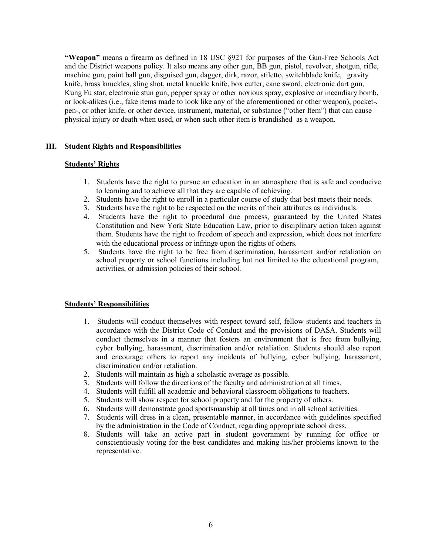"Weapon" means a firearm as defined in 18 USC §921 for purposes of the Gun-Free Schools Act and the District weapons policy. It also means any other gun, BB gun, pistol, revolver, shotgun, rifle, machine gun, paint ball gun, disguised gun, dagger, dirk, razor, stiletto, switchblade knife, gravity knife, brass knuckles, sling shot, metal knuckle knife, box cutter, cane sword, electronic dart gun, Kung Fu star, electronic stun gun, pepper spray or other noxious spray, explosive or incendiary bomb, or look-alikes (i.e., fake items made to look like any of the aforementioned or other weapon), pocket-, pen-, or other knife, or other device, instrument, material, or substance ("other Item") that can cause physical injury or death when used, or when such other item is brandished as a weapon.

#### III. Student Rights and Responsibilities

#### Students' Rights

- 1. Students have the right to pursue an education in an atmosphere that is safe and conducive to learning and to achieve all that they are capable of achieving.
- 2. Students have the right to enroll in a particular course of study that best meets their needs.
- 3. Students have the right to be respected on the merits of their attributes as individuals.
- 4. Students have the right to procedural due process, guaranteed by the United States Constitution and New York State Education Law, prior to disciplinary action taken against them. Students have the right to freedom of speech and expression, which does not interfere with the educational process or infringe upon the rights of others.
- 5. Students have the right to be free from discrimination, harassment and/or retaliation on school property or school functions including but not limited to the educational program, activities, or admission policies of their school.

#### Students' Responsibilities

- 1. Students will conduct themselves with respect toward self, fellow students and teachers in accordance with the District Code of Conduct and the provisions of DASA. Students will conduct themselves in a manner that fosters an environment that is free from bullying, cyber bullying, harassment, discrimination and/or retaliation. Students should also report and encourage others to report any incidents of bullying, cyber bullying, harassment, discrimination and/or retaliation.
- 2. Students will maintain as high a scholastic average as possible.
- 3. Students will follow the directions of the faculty and administration at all times.
- 4. Students will fulfill all academic and behavioral classroom obligations to teachers.
- 5. Students will show respect for school property and for the property of others.
- 6. Students will demonstrate good sportsmanship at all times and in all school activities.
- 7. Students will dress in a clean, presentable manner, in accordance with guidelines specified by the administration in the Code of Conduct, regarding appropriate school dress.
- 8. Students will take an active part in student government by running for office or conscientiously voting for the best candidates and making his/her problems known to the representative.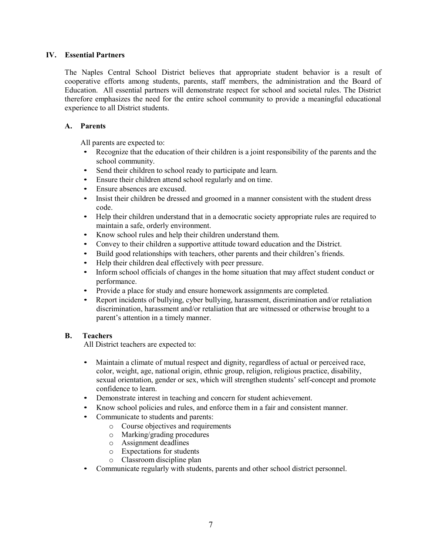# IV. Essential Partners

The Naples Central School District believes that appropriate student behavior is a result of cooperative efforts among students, parents, staff members, the administration and the Board of Education. All essential partners will demonstrate respect for school and societal rules. The District therefore emphasizes the need for the entire school community to provide a meaningful educational experience to all District students.

# A. Parents

- All parents are expected to:<br>• Recognize that the education of their children is a joint responsibility of the parents and the school community.
- Send their children to school ready to participate and learn.
- Ensure their children attend school regularly and on time.
- 
- Ensure absences are excused. Insist their children be dressed and groomed in a manner consistent with the student dress
- code. Help their children understand that in a democratic society appropriate rules are required to maintain a safe, orderly environment.
- Know school rules and help their children understand them.
- Convey to their children a supportive attitude toward education and the District.
- Build good relationships with teachers, other parents and their children's friends.
- 
- Help their children deal effectively with peer pressure.<br>• Inform school officials of changes in the home situation that may affect student conduct or performance.
- 
- Provide a place for study and ensure homework assignments are completed. Report incidents of bullying, cyber bullying, harassment, discrimination and/or retaliation discrimination, harassment and/or retaliation that are witnessed or otherwise brought to a parent's attention in a timely manner.

# B. Teachers

All District teachers are expected to:

- Maintain a climate of mutual respect and dignity, regardless of actual or perceived race, color, weight, age, national origin, ethnic group, religion, religious practice, disability, sexual orientation, gender or sex, which will strengthen students' self-concept and promote confidence to learn.
- Demonstrate interest in teaching and concern for student achievement.
- Know school policies and rules, and enforce them in a fair and consistent manner.
- Communicate to students and parents:
	- o Course objectives and requirements
	- o Marking/grading procedures
		- o Assignment deadlines
		- o Expectations for students
	- o Classroom discipline plan
- Communicate regularly with students, parents and other school district personnel.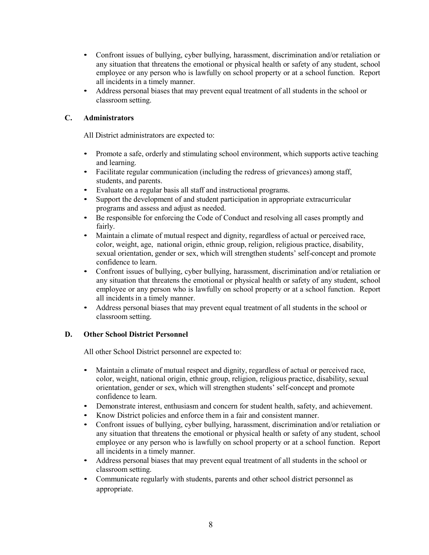- Confront issues of bullying, cyber bullying, harassment, discrimination and/or retaliation or any situation that threatens the emotional or physical health or safety of any student, school employee or any person who is lawfully on school property or at a school function. Report
- all incidents in a timely manner.<br>• Address personal biases that may prevent equal treatment of all students in the school or classroom setting.

# C. Administrators

All District administrators are expected to:

- Promote a safe, orderly and stimulating school environment, which supports active teaching
- Facilitate regular communication (including the redress of grievances) among staff, students, and parents.
- 
- Evaluate on a regular basis all staff and instructional programs. Support the development of and student participation in appropriate extracurricular
- Be responsible for enforcing the Code of Conduct and resolving all cases promptly and
- fairly.<br>• Maintain a climate of mutual respect and dignity, regardless of actual or perceived race, color, weight, age, national origin, ethnic group, religion, religious practice, disability, sexual orientation, gender or sex, which will strengthen students' self-concept and promote confidence to learn. • Confront issues of bullying, cyber bullying, harassment, discrimination and/or retaliation or
- any situation that threatens the emotional or physical health or safety of any student, school employee or any person who is lawfully on school property or at a school function. Report
- all incidents in a timely manner.<br>
Address personal biases that may prevent equal treatment of all students in the school or classroom setting.

# D. Other School District Personnel

All other School District personnel are expected to:

- Maintain a climate of mutual respect and dignity, regardless of actual or perceived race, color, weight, national origin, ethnic group, religion, religious practice, disability, sexual orientation, gender or sex, which will strengthen students' self-concept and promote confidence to learn.
- Demonstrate interest, enthusiasm and concern for student health, safety, and achievement.
- 
- Know District policies and enforce them in a fair and consistent manner.<br>Confront issues of bullying, cyber bullying, harassment, discrimination and/or retaliation or any situation that threatens the emotional or physical health or safety of any student, school employee or any person who is lawfully on school property or at a school function. Report
- Address personal biases that may prevent equal treatment of all students in the school or classroom setting. • Communicate regularly with students, parents and other school district personnel as
- appropriate.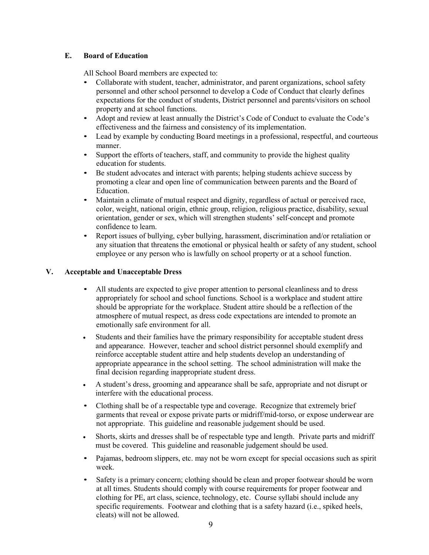# E. Board of Education

- All School Board members are expected to:<br>• Collaborate with student, teacher, administrator, and parent organizations, school safety personnel and other school personnel to develop a Code of Conduct that clearly defines expectations for the conduct of students, District personnel and parents/visitors on school
- property and at school functions.<br>• Adopt and review at least annually the District's Code of Conduct to evaluate the Code's effectiveness and the fairness and consistency of its implementation.
- Lead by example by conducting Board meetings in a professional, respectful, and courteous manner.<br>• Support the efforts of teachers, staff, and community to provide the highest quality
- 
- education for students.<br>
Be student advocates and interact with parents; helping students achieve success by promoting a clear and open line of communication between parents and the Board of
- Education.<br>• Maintain a climate of mutual respect and dignity, regardless of actual or perceived race, color, weight, national origin, ethnic group, religion, religious practice, disability, sexual orientation, gender or sex, which will strengthen students' self-concept and promote
- confidence to learn. Report issues of bullying, cyber bullying, harassment, discrimination and/or retaliation or any situation that threatens the emotional or physical health or safety of any student, school employee or any person who is lawfully on school property or at a school function.

# V. Acceptable and Unacceptable Dress

- All students are expected to give proper attention to personal cleanliness and to dress appropriately for school and school functions. School is a workplace and student attire should be appropriate for the workplace. Student attire should be a reflection of the atmosphere of mutual respect, as dress code expectations are intended to promote an emotionally safe environment for all.
- Students and their families have the primary responsibility for acceptable student dress and appearance. However, teacher and school district personnel should exemplify and reinforce acceptable student attire and help students develop an understanding of appropriate appearance in the school setting. The school administration will make the final decision regarding inappropriate student dress.
- A student's dress, grooming and appearance shall be safe, appropriate and not disrupt or interfere with the educational process.
- Clothing shall be of a respectable type and coverage. Recognize that extremely brief garments that reveal or expose private parts or midriff/mid-torso, or expose underwear are not appropriate. This guideline and reasonable judgement should be used.
- Shorts, skirts and dresses shall be of respectable type and length. Private parts and midriff must be covered. This guideline and reasonable judgement should be used.
- Pajamas, bedroom slippers, etc. may not be worn except for special occasions such as spirit week.
- Safety is a primary concern; clothing should be clean and proper footwear should be worn at all times. Students should comply with course requirements for proper footwear and clothing for PE, art class, science, technology, etc. Course syllabi should include any specific requirements. Footwear and clothing that is a safety hazard (i.e., spiked heels, cleats) will not be allowed.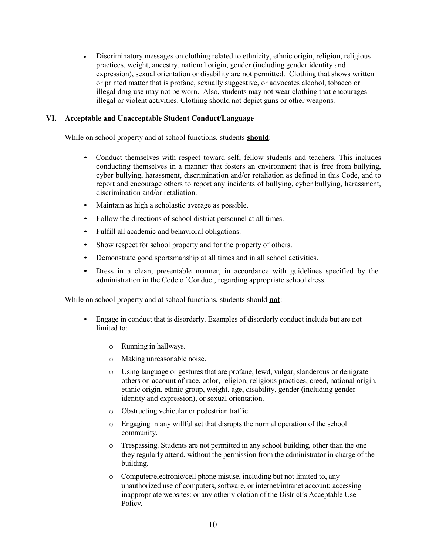Discriminatory messages on clothing related to ethnicity, ethnic origin, religion, religious practices, weight, ancestry, national origin, gender (including gender identity and expression), sexual orientation or disability are not permitted. Clothing that shows written or printed matter that is profane, sexually suggestive, or advocates alcohol, tobacco or illegal drug use may not be worn. Also, students may not wear clothing that encourages illegal or violent activities. Clothing should not depict guns or other weapons.

# VI. Acceptable and Unacceptable Student Conduct/Language

While on school property and at school functions, students **should**:

- Conduct themselves with respect toward self, fellow students and teachers. This includes conducting themselves in a manner that fosters an environment that is free from bullying, cyber bullying, harassment, discrimination and/or retaliation as defined in this Code, and to report and encourage others to report any incidents of bullying, cyber bullying, harassment, discrimination and/or retaliation.
- Maintain as high a scholastic average as possible.
- Follow the directions of school district personnel at all times.
- Fulfill all academic and behavioral obligations.
- Show respect for school property and for the property of others.
- Demonstrate good sportsmanship at all times and in all school activities.
- Dress in a clean, presentable manner, in accordance with guidelines specified by the administration in the Code of Conduct, regarding appropriate school dress.

While on school property and at school functions, students should **not**:

- Engage in conduct that is disorderly. Examples of disorderly conduct include but are not limited to:
	- o Running in hallways.
	- o Making unreasonable noise.
	- o Using language or gestures that are profane, lewd, vulgar, slanderous or denigrate others on account of race, color, religion, religious practices, creed, national origin, ethnic origin, ethnic group, weight, age, disability, gender (including gender identity and expression), or sexual orientation.
	- o Obstructing vehicular or pedestrian traffic.
	- o Engaging in any willful act that disrupts the normal operation of the school community.
	- o Trespassing. Students are not permitted in any school building, other than the one they regularly attend, without the permission from the administrator in charge of the building.
	- o Computer/electronic/cell phone misuse, including but not limited to, any unauthorized use of computers, software, or internet/intranet account: accessing inappropriate websites: or any other violation of the District's Acceptable Use Policy.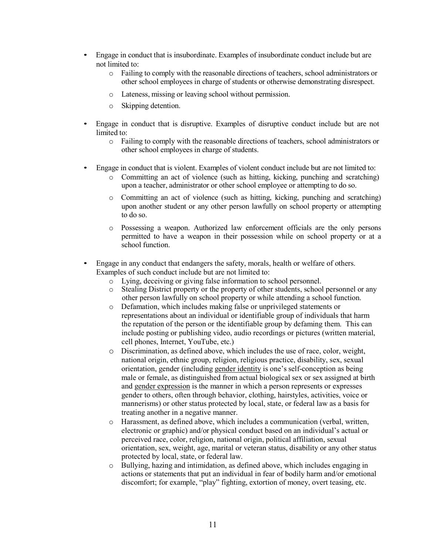- Engage in conduct that is insubordinate. Examples of insubordinate conduct include but are not limited to:
	- o Failing to comply with the reasonable directions of teachers, school administrators or other school employees in charge of students or otherwise demonstrating disrespect.
	- o Lateness, missing or leaving school without permission.
	- o Skipping detention.
- Engage in conduct that is disruptive. Examples of disruptive conduct include but are not limited to:
	- o Failing to comply with the reasonable directions of teachers, school administrators or other school employees in charge of students.
- Engage in conduct that is violent. Examples of violent conduct include but are not limited to:
	- o Committing an act of violence (such as hitting, kicking, punching and scratching) upon a teacher, administrator or other school employee or attempting to do so.
	- o Committing an act of violence (such as hitting, kicking, punching and scratching) upon another student or any other person lawfully on school property or attempting to do so.
	- o Possessing a weapon. Authorized law enforcement officials are the only persons permitted to have a weapon in their possession while on school property or at a school function.
- Engage in any conduct that endangers the safety, morals, health or welfare of others. Examples of such conduct include but are not limited to:
	- o Lying, deceiving or giving false information to school personnel.
	- o Stealing District property or the property of other students, school personnel or any other person lawfully on school property or while attending a school function.
	- o Defamation, which includes making false or unprivileged statements or representations about an individual or identifiable group of individuals that harm the reputation of the person or the identifiable group by defaming them. This can include posting or publishing video, audio recordings or pictures (written material, cell phones, Internet, YouTube, etc.)
	- o Discrimination, as defined above, which includes the use of race, color, weight, national origin, ethnic group, religion, religious practice, disability, sex, sexual orientation, gender (including gender identity is one's self-conception as being male or female, as distinguished from actual biological sex or sex assigned at birth and gender expression is the manner in which a person represents or expresses gender to others, often through behavior, clothing, hairstyles, activities, voice or mannerisms) or other status protected by local, state, or federal law as a basis for treating another in a negative manner.
	- o Harassment, as defined above, which includes a communication (verbal, written, electronic or graphic) and/or physical conduct based on an individual's actual or perceived race, color, religion, national origin, political affiliation, sexual orientation, sex, weight, age, marital or veteran status, disability or any other status protected by local, state, or federal law.
	- o Bullying, hazing and intimidation, as defined above, which includes engaging in actions or statements that put an individual in fear of bodily harm and/or emotional discomfort; for example, "play" fighting, extortion of money, overt teasing, etc.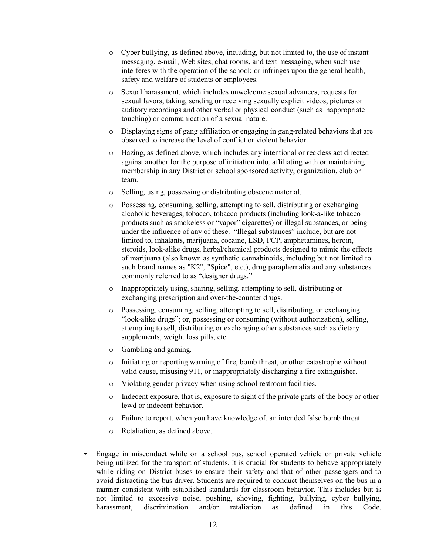- o Cyber bullying, as defined above, including, but not limited to, the use of instant messaging, e-mail, Web sites, chat rooms, and text messaging, when such use interferes with the operation of the school; or infringes upon the general health, safety and welfare of students or employees.
- o Sexual harassment, which includes unwelcome sexual advances, requests for sexual favors, taking, sending or receiving sexually explicit videos, pictures or auditory recordings and other verbal or physical conduct (such as inappropriate touching) or communication of a sexual nature.
- o Displaying signs of gang affiliation or engaging in gang-related behaviors that are observed to increase the level of conflict or violent behavior.
- o Hazing, as defined above, which includes any intentional or reckless act directed against another for the purpose of initiation into, affiliating with or maintaining membership in any District or school sponsored activity, organization, club or team.
- o Selling, using, possessing or distributing obscene material.
- Possessing, consuming, selling, attempting to sell, distributing or exchanging alcoholic beverages, tobacco, tobacco products (including look-a-like tobacco products such as smokeless or "vapor" cigarettes) or illegal substances, or being under the influence of any of these. "Illegal substances" include, but are not limited to, inhalants, marijuana, cocaine, LSD, PCP, amphetamines, heroin, steroids, look-alike drugs, herbal/chemical products designed to mimic the effects of marijuana (also known as synthetic cannabinoids, including but not limited to such brand names as "K2", "Spice", etc.), drug paraphernalia and any substances commonly referred to as "designer drugs."
- o Inappropriately using, sharing, selling, attempting to sell, distributing or exchanging prescription and over-the-counter drugs.
- o Possessing, consuming, selling, attempting to sell, distributing, or exchanging "look-alike drugs"; or, possessing or consuming (without authorization), selling, attempting to sell, distributing or exchanging other substances such as dietary supplements, weight loss pills, etc.
- o Gambling and gaming.
- o Initiating or reporting warning of fire, bomb threat, or other catastrophe without valid cause, misusing 911, or inappropriately discharging a fire extinguisher.
- o Violating gender privacy when using school restroom facilities.
- o Indecent exposure, that is, exposure to sight of the private parts of the body or other lewd or indecent behavior.
- o Failure to report, when you have knowledge of, an intended false bomb threat.
- o Retaliation, as defined above.
- Engage in misconduct while on a school bus, school operated vehicle or private vehicle being utilized for the transport of students. It is crucial for students to behave appropriately while riding on District buses to ensure their safety and that of other passengers and to avoid distracting the bus driver. Students are required to conduct themselves on the bus in a manner consistent with established standards for classroom behavior. This includes but is not limited to excessive noise, pushing, shoving, fighting, bullying, cyber bullying, harassment, discrimination and/or retaliation as defined in this Code.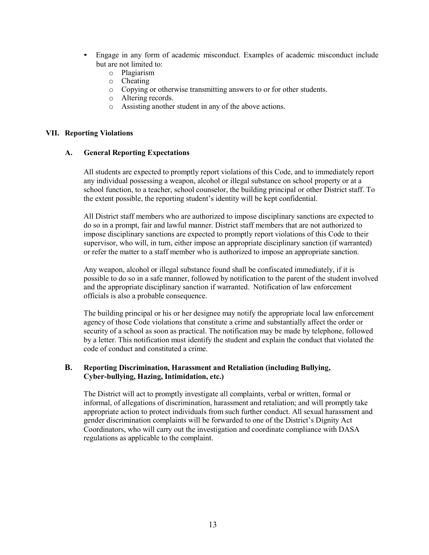- Engage in any form of academic misconduct. Examples of academic misconduct include but are not limited to:
	- o Plagiarism
	- o Cheating
	- o Copying or otherwise transmitting answers to or for other students.
	- o Altering records.
	- o Assisting another student in any of the above actions.

#### VII. Reporting Violations

#### A. General Reporting Expectations

All students are expected to promptly report violations of this Code, and to immediately report any individual possessing a weapon, alcohol or illegal substance on school property or at a school function, to a teacher, school counselor, the building principal or other District staff. To the extent possible, the reporting student's identity will be kept confidential.

All District staff members who are authorized to impose disciplinary sanctions are expected to do so in a prompt, fair and lawful manner. District staff members that are not authorized to impose disciplinary sanctions are expected to promptly report violations of this Code to their supervisor, who will, in turn, either impose an appropriate disciplinary sanction (if warranted) or refer the matter to a staff member who is authorized to impose an appropriate sanction.

Any weapon, alcohol or illegal substance found shall be confiscated immediately, if it is possible to do so in a safe manner, followed by notification to the parent of the student involved and the appropriate disciplinary sanction if warranted. Notification of law enforcement officials is also a probable consequence.

The building principal or his or her designee may notify the appropriate local law enforcement agency of those Code violations that constitute a crime and substantially affect the order or security of a school as soon as practical. The notification may be made by telephone, followed by a letter. This notification must identify the student and explain the conduct that violated the code of conduct and constituted a crime.

# B. Reporting Discrimination, Harassment and Retaliation (including Bullying, Cyber-bullying, Hazing, Intimidation, etc.)

The District will act to promptly investigate all complaints, verbal or written, formal or informal, of allegations of discrimination, harassment and retaliation; and will promptly take appropriate action to protect individuals from such further conduct. All sexual harassment and gender discrimination complaints will be forwarded to one of the District's Dignity Act Coordinators, who will carry out the investigation and coordinate compliance with DASA regulations as applicable to the complaint.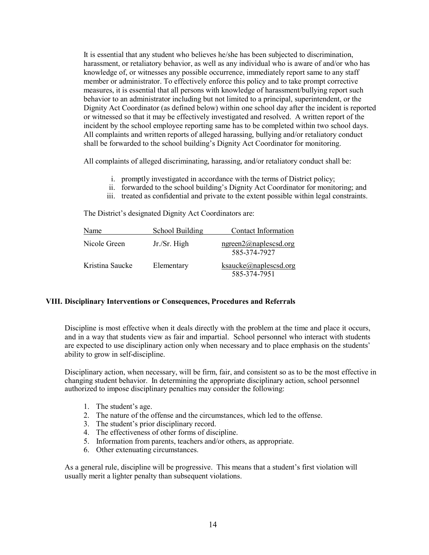It is essential that any student who believes he/she has been subjected to discrimination, harassment, or retaliatory behavior, as well as any individual who is aware of and/or who has knowledge of, or witnesses any possible occurrence, immediately report same to any staff member or administrator. To effectively enforce this policy and to take prompt corrective measures, it is essential that all persons with knowledge of harassment/bullying report such behavior to an administrator including but not limited to a principal, superintendent, or the Dignity Act Coordinator (as defined below) within one school day after the incident is reported or witnessed so that it may be effectively investigated and resolved. A written report of the incident by the school employee reporting same has to be completed within two school days. All complaints and written reports of alleged harassing, bullying and/or retaliatory conduct shall be forwarded to the school building's Dignity Act Coordinator for monitoring.

All complaints of alleged discriminating, harassing, and/or retaliatory conduct shall be:

- i. promptly investigated in accordance with the terms of District policy;
- ii. forwarded to the school building's Dignity Act Coordinator for monitoring; and
- iii. treated as confidential and private to the extent possible within legal constraints.

The District's designated Dignity Act Coordinators are:

| Name            | School Building | Contact Information                   |
|-----------------|-----------------|---------------------------------------|
| Nicole Green    | Jr./Sr. High    | ngreen2@naplescsd.org<br>585-374-7927 |
| Kristina Saucke | Elementary      | ksaucke@naplessd.org<br>585-374-7951  |

#### VIII. Disciplinary Interventions or Consequences, Procedures and Referrals

Discipline is most effective when it deals directly with the problem at the time and place it occurs, and in a way that students view as fair and impartial. School personnel who interact with students are expected to use disciplinary action only when necessary and to place emphasis on the students' ability to grow in self-discipline.

Disciplinary action, when necessary, will be firm, fair, and consistent so as to be the most effective in changing student behavior. In determining the appropriate disciplinary action, school personnel authorized to impose disciplinary penalties may consider the following:

- 1. The student's age.
- 2. The nature of the offense and the circumstances, which led to the offense.
- 3. The student's prior disciplinary record.
- 4. The effectiveness of other forms of discipline.
- 5. Information from parents, teachers and/or others, as appropriate.
- 6. Other extenuating circumstances.

As a general rule, discipline will be progressive. This means that a student's first violation will usually merit a lighter penalty than subsequent violations.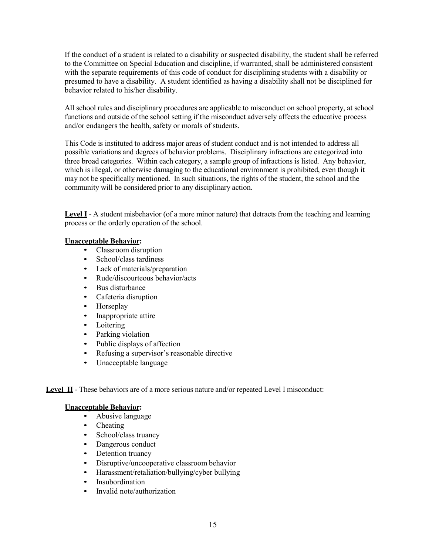If the conduct of a student is related to a disability or suspected disability, the student shall be referred to the Committee on Special Education and discipline, if warranted, shall be administered consistent with the separate requirements of this code of conduct for disciplining students with a disability or presumed to have a disability. A student identified as having a disability shall not be disciplined for behavior related to his/her disability.

All school rules and disciplinary procedures are applicable to misconduct on school property, at school functions and outside of the school setting if the misconduct adversely affects the educative process and/or endangers the health, safety or morals of students.

This Code is instituted to address major areas of student conduct and is not intended to address all possible variations and degrees of behavior problems. Disciplinary infractions are categorized into three broad categories. Within each category, a sample group of infractions is listed. Any behavior, which is illegal, or otherwise damaging to the educational environment is prohibited, even though it may not be specifically mentioned. In such situations, the rights of the student, the school and the community will be considered prior to any disciplinary action.

Level I - A student misbehavior (of a more minor nature) that detracts from the teaching and learning process or the orderly operation of the school.

# Unacceptable Behavior:

- Classroom disruption
- School/class tardiness
- Lack of materials/preparation
- Rude/discourteous behavior/acts
- Bus disturbance
- Cafeteria disruption
- Horseplay
- Inappropriate attire
- Loitering
- Parking violation
- Public displays of affection
- Refusing a supervisor's reasonable directive
- Unacceptable language

Level II - These behaviors are of a more serious nature and/or repeated Level I misconduct:

# Unacceptable Behavior:

- Abusive language
- Cheating
- School/class truancy
- Dangerous conduct
- Detention truancy
- Disruptive/uncooperative classroom behavior
- Harassment/retaliation/bullying/cyber bullying
- **Insubordination**
- Invalid note/authorization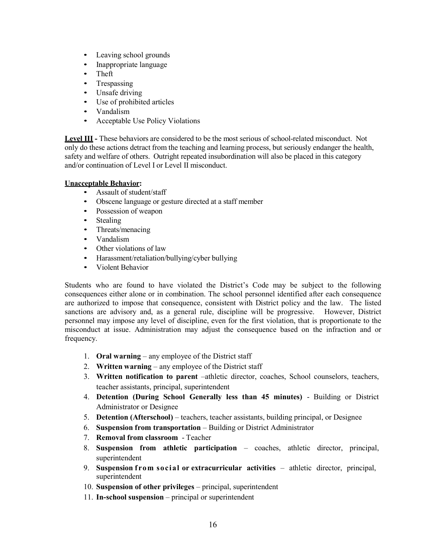- Leaving school grounds
- Inappropriate language
- Theft
- Trespassing
- Unsafe driving
- Use of prohibited articles
- Vandalism
- Acceptable Use Policy Violations

Level III - These behaviors are considered to be the most serious of school-related misconduct. Not only do these actions detract from the teaching and learning process, but seriously endanger the health, safety and welfare of others. Outright repeated insubordination will also be placed in this category and/or continuation of Level I or Level II misconduct.

# Unacceptable Behavior:

- Assault of student/staff
- Obscene language or gesture directed at a staff member
- Possession of weapon
- Stealing
- Threats/menacing
- Vandalism
- Other violations of law
- Harassment/retaliation/bullying/cyber bullying
- Violent Behavior

Students who are found to have violated the District's Code may be subject to the following consequences either alone or in combination. The school personnel identified after each consequence are authorized to impose that consequence, consistent with District policy and the law. The listed sanctions are advisory and, as a general rule, discipline will be progressive. However, District personnel may impose any level of discipline, even for the first violation, that is proportionate to the misconduct at issue. Administration may adjust the consequence based on the infraction and or frequency.

- 1. Oral warning any employee of the District staff
- 2. Written warning any employee of the District staff
- 3. Written notification to parent –athletic director, coaches, School counselors, teachers, teacher assistants, principal, superintendent
- 4. Detention (During School Generally less than 45 minutes) Building or District Administrator or Designee
- 5. Detention (Afterschool) teachers, teacher assistants, building principal, or Designee
- 6. Suspension from transportation Building or District Administrator
- 7. Removal from classroom Teacher
- 8. Suspension from athletic participation coaches, athletic director, principal, superintendent
- 9. Suspension from social or extracurricular activities  $-$  athletic director, principal, superintendent
- 10. Suspension of other privileges principal, superintendent
- 11. In-school suspension principal or superintendent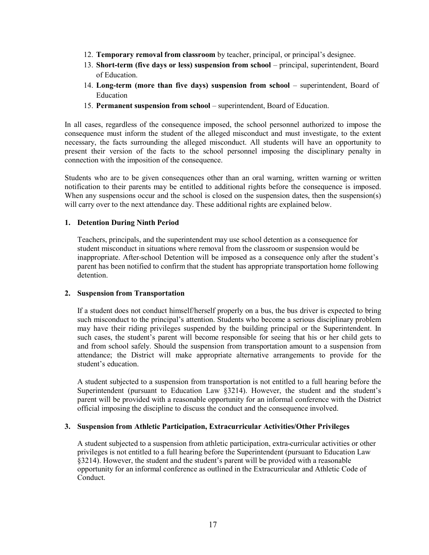- 12. Temporary removal from classroom by teacher, principal, or principal's designee.
- 13. Short-term (five days or less) suspension from school principal, superintendent, Board of Education.
- 14. Long-term (more than five days) suspension from school superintendent, Board of Education
- 15. Permanent suspension from school superintendent, Board of Education.

In all cases, regardless of the consequence imposed, the school personnel authorized to impose the consequence must inform the student of the alleged misconduct and must investigate, to the extent necessary, the facts surrounding the alleged misconduct. All students will have an opportunity to present their version of the facts to the school personnel imposing the disciplinary penalty in connection with the imposition of the consequence.

Students who are to be given consequences other than an oral warning, written warning or written notification to their parents may be entitled to additional rights before the consequence is imposed. When any suspensions occur and the school is closed on the suspension dates, then the suspension(s) will carry over to the next attendance day. These additional rights are explained below.

#### 1. Detention During Ninth Period

Teachers, principals, and the superintendent may use school detention as a consequence for student misconduct in situations where removal from the classroom or suspension would be inappropriate. After-school Detention will be imposed as a consequence only after the student's parent has been notified to confirm that the student has appropriate transportation home following detention.

# 2. Suspension from Transportation

If a student does not conduct himself/herself properly on a bus, the bus driver is expected to bring such misconduct to the principal's attention. Students who become a serious disciplinary problem may have their riding privileges suspended by the building principal or the Superintendent. In such cases, the student's parent will become responsible for seeing that his or her child gets to and from school safely. Should the suspension from transportation amount to a suspension from attendance; the District will make appropriate alternative arrangements to provide for the student's education.

A student subjected to a suspension from transportation is not entitled to a full hearing before the Superintendent (pursuant to Education Law §3214). However, the student and the student's parent will be provided with a reasonable opportunity for an informal conference with the District official imposing the discipline to discuss the conduct and the consequence involved.

#### 3. Suspension from Athletic Participation, Extracurricular Activities/Other Privileges

A student subjected to a suspension from athletic participation, extra-curricular activities or other privileges is not entitled to a full hearing before the Superintendent (pursuant to Education Law §3214). However, the student and the student's parent will be provided with a reasonable opportunity for an informal conference as outlined in the Extracurricular and Athletic Code of Conduct.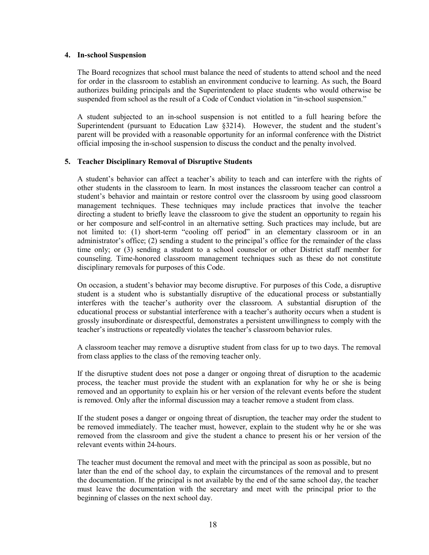#### 4. In-school Suspension

The Board recognizes that school must balance the need of students to attend school and the need for order in the classroom to establish an environment conducive to learning. As such, the Board authorizes building principals and the Superintendent to place students who would otherwise be suspended from school as the result of a Code of Conduct violation in "in-school suspension."

A student subjected to an in-school suspension is not entitled to a full hearing before the Superintendent (pursuant to Education Law §3214). However, the student and the student's parent will be provided with a reasonable opportunity for an informal conference with the District official imposing the in-school suspension to discuss the conduct and the penalty involved.

# 5. Teacher Disciplinary Removal of Disruptive Students

A student's behavior can affect a teacher's ability to teach and can interfere with the rights of other students in the classroom to learn. In most instances the classroom teacher can control a student's behavior and maintain or restore control over the classroom by using good classroom management techniques. These techniques may include practices that involve the teacher directing a student to briefly leave the classroom to give the student an opportunity to regain his or her composure and self-control in an alternative setting. Such practices may include, but are not limited to: (1) short-term "cooling off period" in an elementary classroom or in an administrator's office; (2) sending a student to the principal's office for the remainder of the class time only; or (3) sending a student to a school counselor or other District staff member for counseling. Time-honored classroom management techniques such as these do not constitute disciplinary removals for purposes of this Code.

On occasion, a student's behavior may become disruptive. For purposes of this Code, a disruptive student is a student who is substantially disruptive of the educational process or substantially interferes with the teacher's authority over the classroom. A substantial disruption of the educational process or substantial interference with a teacher's authority occurs when a student is grossly insubordinate or disrespectful, demonstrates a persistent unwillingness to comply with the teacher's instructions or repeatedly violates the teacher's classroom behavior rules.

A classroom teacher may remove a disruptive student from class for up to two days. The removal from class applies to the class of the removing teacher only.

If the disruptive student does not pose a danger or ongoing threat of disruption to the academic process, the teacher must provide the student with an explanation for why he or she is being removed and an opportunity to explain his or her version of the relevant events before the student is removed. Only after the informal discussion may a teacher remove a student from class.

If the student poses a danger or ongoing threat of disruption, the teacher may order the student to be removed immediately. The teacher must, however, explain to the student why he or she was removed from the classroom and give the student a chance to present his or her version of the relevant events within 24-hours.

The teacher must document the removal and meet with the principal as soon as possible, but no later than the end of the school day, to explain the circumstances of the removal and to present the documentation. If the principal is not available by the end of the same school day, the teacher must leave the documentation with the secretary and meet with the principal prior to the beginning of classes on the next school day.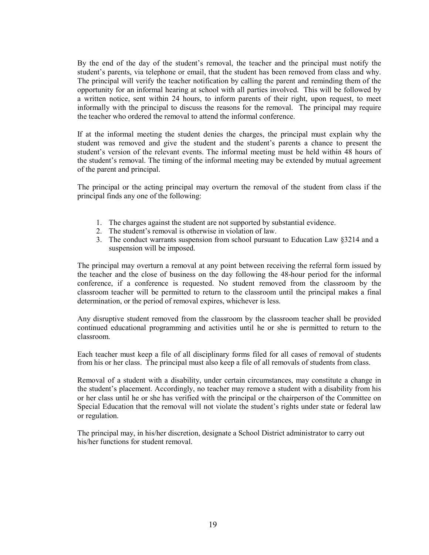By the end of the day of the student's removal, the teacher and the principal must notify the student's parents, via telephone or email, that the student has been removed from class and why. The principal will verify the teacher notification by calling the parent and reminding them of the opportunity for an informal hearing at school with all parties involved. This will be followed by a written notice, sent within 24 hours, to inform parents of their right, upon request, to meet informally with the principal to discuss the reasons for the removal. The principal may require the teacher who ordered the removal to attend the informal conference.

If at the informal meeting the student denies the charges, the principal must explain why the student was removed and give the student and the student's parents a chance to present the student's version of the relevant events. The informal meeting must be held within 48 hours of the student's removal. The timing of the informal meeting may be extended by mutual agreement of the parent and principal.

The principal or the acting principal may overturn the removal of the student from class if the principal finds any one of the following:

- 1. The charges against the student are not supported by substantial evidence.
- 2. The student's removal is otherwise in violation of law.
- 3. The conduct warrants suspension from school pursuant to Education Law §3214 and a suspension will be imposed.

The principal may overturn a removal at any point between receiving the referral form issued by the teacher and the close of business on the day following the 48-hour period for the informal conference, if a conference is requested. No student removed from the classroom by the classroom teacher will be permitted to return to the classroom until the principal makes a final determination, or the period of removal expires, whichever is less.

Any disruptive student removed from the classroom by the classroom teacher shall be provided continued educational programming and activities until he or she is permitted to return to the classroom.

Each teacher must keep a file of all disciplinary forms filed for all cases of removal of students from his or her class. The principal must also keep a file of all removals of students from class.

Removal of a student with a disability, under certain circumstances, may constitute a change in the student's placement. Accordingly, no teacher may remove a student with a disability from his or her class until he or she has verified with the principal or the chairperson of the Committee on Special Education that the removal will not violate the student's rights under state or federal law or regulation.

The principal may, in his/her discretion, designate a School District administrator to carry out his/her functions for student removal.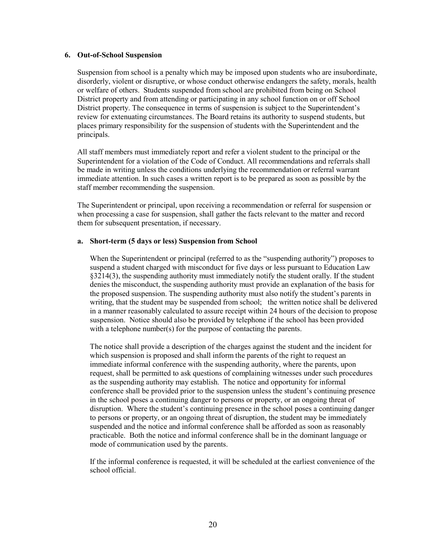#### 6. Out-of-School Suspension

Suspension from school is a penalty which may be imposed upon students who are insubordinate, disorderly, violent or disruptive, or whose conduct otherwise endangers the safety, morals, health or welfare of others. Students suspended from school are prohibited from being on School District property and from attending or participating in any school function on or off School District property. The consequence in terms of suspension is subject to the Superintendent's review for extenuating circumstances. The Board retains its authority to suspend students, but places primary responsibility for the suspension of students with the Superintendent and the principals.

All staff members must immediately report and refer a violent student to the principal or the Superintendent for a violation of the Code of Conduct. All recommendations and referrals shall be made in writing unless the conditions underlying the recommendation or referral warrant immediate attention. In such cases a written report is to be prepared as soon as possible by the staff member recommending the suspension.

The Superintendent or principal, upon receiving a recommendation or referral for suspension or when processing a case for suspension, shall gather the facts relevant to the matter and record them for subsequent presentation, if necessary.

# a. Short-term (5 days or less) Suspension from School

When the Superintendent or principal (referred to as the "suspending authority") proposes to suspend a student charged with misconduct for five days or less pursuant to Education Law §3214(3), the suspending authority must immediately notify the student orally. If the student denies the misconduct, the suspending authority must provide an explanation of the basis for the proposed suspension. The suspending authority must also notify the student's parents in writing, that the student may be suspended from school; the written notice shall be delivered in a manner reasonably calculated to assure receipt within 24 hours of the decision to propose suspension. Notice should also be provided by telephone if the school has been provided with a telephone number(s) for the purpose of contacting the parents.

The notice shall provide a description of the charges against the student and the incident for which suspension is proposed and shall inform the parents of the right to request an immediate informal conference with the suspending authority, where the parents, upon request, shall be permitted to ask questions of complaining witnesses under such procedures as the suspending authority may establish. The notice and opportunity for informal conference shall be provided prior to the suspension unless the student's continuing presence in the school poses a continuing danger to persons or property, or an ongoing threat of disruption. Where the student's continuing presence in the school poses a continuing danger to persons or property, or an ongoing threat of disruption, the student may be immediately suspended and the notice and informal conference shall be afforded as soon as reasonably practicable. Both the notice and informal conference shall be in the dominant language or mode of communication used by the parents.

If the informal conference is requested, it will be scheduled at the earliest convenience of the school official.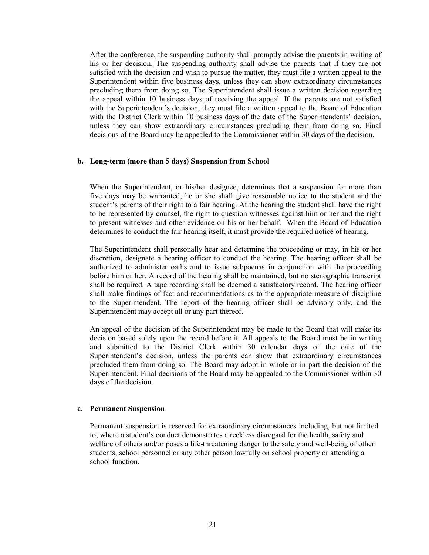After the conference, the suspending authority shall promptly advise the parents in writing of his or her decision. The suspending authority shall advise the parents that if they are not satisfied with the decision and wish to pursue the matter, they must file a written appeal to the Superintendent within five business days, unless they can show extraordinary circumstances precluding them from doing so. The Superintendent shall issue a written decision regarding the appeal within 10 business days of receiving the appeal. If the parents are not satisfied with the Superintendent's decision, they must file a written appeal to the Board of Education with the District Clerk within 10 business days of the date of the Superintendents' decision, unless they can show extraordinary circumstances precluding them from doing so. Final decisions of the Board may be appealed to the Commissioner within 30 days of the decision.

#### b. Long-term (more than 5 days) Suspension from School

When the Superintendent, or his/her designee, determines that a suspension for more than five days may be warranted, he or she shall give reasonable notice to the student and the student's parents of their right to a fair hearing. At the hearing the student shall have the right to be represented by counsel, the right to question witnesses against him or her and the right to present witnesses and other evidence on his or her behalf. When the Board of Education determines to conduct the fair hearing itself, it must provide the required notice of hearing.

The Superintendent shall personally hear and determine the proceeding or may, in his or her discretion, designate a hearing officer to conduct the hearing. The hearing officer shall be authorized to administer oaths and to issue subpoenas in conjunction with the proceeding before him or her. A record of the hearing shall be maintained, but no stenographic transcript shall be required. A tape recording shall be deemed a satisfactory record. The hearing officer shall make findings of fact and recommendations as to the appropriate measure of discipline to the Superintendent. The report of the hearing officer shall be advisory only, and the Superintendent may accept all or any part thereof.

An appeal of the decision of the Superintendent may be made to the Board that will make its decision based solely upon the record before it. All appeals to the Board must be in writing and submitted to the District Clerk within 30 calendar days of the date of the Superintendent's decision, unless the parents can show that extraordinary circumstances precluded them from doing so. The Board may adopt in whole or in part the decision of the Superintendent. Final decisions of the Board may be appealed to the Commissioner within 30 days of the decision.

#### c. Permanent Suspension

Permanent suspension is reserved for extraordinary circumstances including, but not limited to, where a student's conduct demonstrates a reckless disregard for the health, safety and welfare of others and/or poses a life-threatening danger to the safety and well-being of other students, school personnel or any other person lawfully on school property or attending a school function.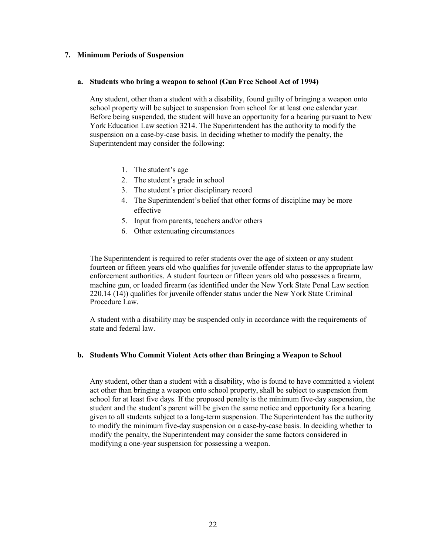#### 7. Minimum Periods of Suspension

#### a. Students who bring a weapon to school (Gun Free School Act of 1994)

Any student, other than a student with a disability, found guilty of bringing a weapon onto school property will be subject to suspension from school for at least one calendar year. Before being suspended, the student will have an opportunity for a hearing pursuant to New York Education Law section 3214. The Superintendent has the authority to modify the suspension on a case-by-case basis. In deciding whether to modify the penalty, the Superintendent may consider the following:

- 1. The student's age
- 2. The student's grade in school
- 3. The student's prior disciplinary record
- 4. The Superintendent's belief that other forms of discipline may be more effective
- 5. Input from parents, teachers and/or others
- 6. Other extenuating circumstances

The Superintendent is required to refer students over the age of sixteen or any student fourteen or fifteen years old who qualifies for juvenile offender status to the appropriate law enforcement authorities. A student fourteen or fifteen years old who possesses a firearm, machine gun, or loaded firearm (as identified under the New York State Penal Law section 220.14 (14)) qualifies for juvenile offender status under the New York State Criminal Procedure Law.

A student with a disability may be suspended only in accordance with the requirements of state and federal law.

# b. Students Who Commit Violent Acts other than Bringing a Weapon to School

Any student, other than a student with a disability, who is found to have committed a violent act other than bringing a weapon onto school property, shall be subject to suspension from school for at least five days. If the proposed penalty is the minimum five-day suspension, the student and the student's parent will be given the same notice and opportunity for a hearing given to all students subject to a long-term suspension. The Superintendent has the authority to modify the minimum five-day suspension on a case-by-case basis. In deciding whether to modify the penalty, the Superintendent may consider the same factors considered in modifying a one-year suspension for possessing a weapon.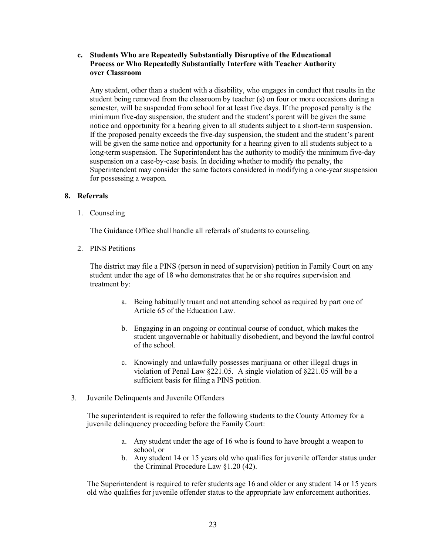# c. Students Who are Repeatedly Substantially Disruptive of the Educational Process or Who Repeatedly Substantially Interfere with Teacher Authority over Classroom

Any student, other than a student with a disability, who engages in conduct that results in the student being removed from the classroom by teacher (s) on four or more occasions during a semester, will be suspended from school for at least five days. If the proposed penalty is the minimum five-day suspension, the student and the student's parent will be given the same notice and opportunity for a hearing given to all students subject to a short-term suspension. If the proposed penalty exceeds the five-day suspension, the student and the student's parent will be given the same notice and opportunity for a hearing given to all students subject to a long-term suspension. The Superintendent has the authority to modify the minimum five-day suspension on a case-by-case basis. In deciding whether to modify the penalty, the Superintendent may consider the same factors considered in modifying a one-year suspension for possessing a weapon.

# 8. Referrals

1. Counseling

The Guidance Office shall handle all referrals of students to counseling.

2. PINS Petitions

The district may file a PINS (person in need of supervision) petition in Family Court on any student under the age of 18 who demonstrates that he or she requires supervision and treatment by:

- a. Being habitually truant and not attending school as required by part one of Article 65 of the Education Law.
- b. Engaging in an ongoing or continual course of conduct, which makes the student ungovernable or habitually disobedient, and beyond the lawful control of the school.
- c. Knowingly and unlawfully possesses marijuana or other illegal drugs in violation of Penal Law §221.05. A single violation of §221.05 will be a sufficient basis for filing a PINS petition.
- 3. Juvenile Delinquents and Juvenile Offenders

The superintendent is required to refer the following students to the County Attorney for a juvenile delinquency proceeding before the Family Court:

- a. Any student under the age of 16 who is found to have brought a weapon to school, or
- b. Any student 14 or 15 years old who qualifies for juvenile offender status under the Criminal Procedure Law §1.20 (42).

The Superintendent is required to refer students age 16 and older or any student 14 or 15 years old who qualifies for juvenile offender status to the appropriate law enforcement authorities.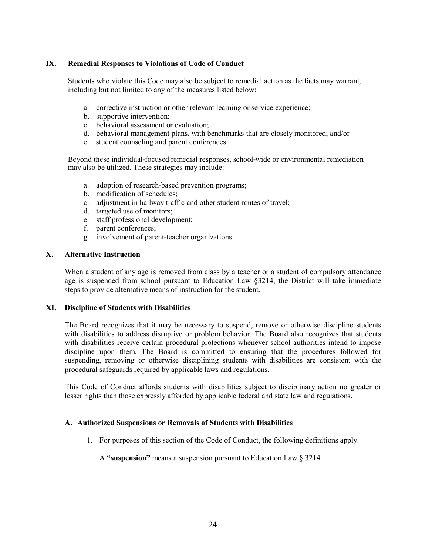# IX. Remedial Responses to Violations of Code of Conduct

Students who violate this Code may also be subject to remedial action as the facts may warrant, including but not limited to any of the measures listed below:

- a. corrective instruction or other relevant learning or service experience;
- b. supportive intervention;
- c. behavioral assessment or evaluation;
- d. behavioral management plans, with benchmarks that are closely monitored; and/or
- e. student counseling and parent conferences.

Beyond these individual-focused remedial responses, school-wide or environmental remediation may also be utilized. These strategies may include:

- a. adoption of research-based prevention programs;
- b. modification of schedules;
- c. adjustment in hallway traffic and other student routes of travel;
- d. targeted use of monitors;
- e. staff professional development;
- f. parent conferences;
- g. involvement of parent-teacher organizations

#### X. Alternative Instruction

When a student of any age is removed from class by a teacher or a student of compulsory attendance age is suspended from school pursuant to Education Law §3214, the District will take immediate steps to provide alternative means of instruction for the student.

#### XI. Discipline of Students with Disabilities

The Board recognizes that it may be necessary to suspend, remove or otherwise discipline students with disabilities to address disruptive or problem behavior. The Board also recognizes that students with disabilities receive certain procedural protections whenever school authorities intend to impose discipline upon them. The Board is committed to ensuring that the procedures followed for suspending, removing or otherwise disciplining students with disabilities are consistent with the procedural safeguards required by applicable laws and regulations.

This Code of Conduct affords students with disabilities subject to disciplinary action no greater or lesser rights than those expressly afforded by applicable federal and state law and regulations.

# A. Authorized Suspensions or Removals of Students with Disabilities

1. For purposes of this section of the Code of Conduct, the following definitions apply.

A "suspension" means a suspension pursuant to Education Law § 3214.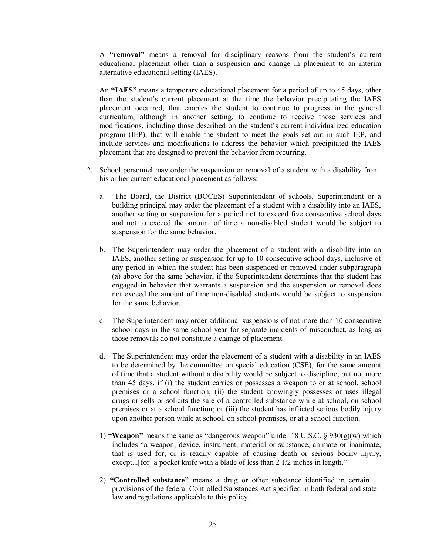A "removal" means a removal for disciplinary reasons from the student's current educational placement other than a suspension and change in placement to an interim alternative educational setting (IAES).

An "IAES" means a temporary educational placement for a period of up to 45 days, other than the student's current placement at the time the behavior precipitating the IAES placement occurred, that enables the student to continue to progress in the general curriculum, although in another setting, to continue to receive those services and modifications, including those described on the student's current individualized education program (IEP), that will enable the student to meet the goals set out in such IEP, and include services and modifications to address the behavior which precipitated the IAES placement that are designed to prevent the behavior from recurring.

- 2. School personnel may order the suspension or removal of a student with a disability from his or her current educational placement as follows:
	- a. The Board, the District (BOCES) Superintendent of schools, Superintendent or a building principal may order the placement of a student with a disability into an IAES, another setting or suspension for a period not to exceed five consecutive school days and not to exceed the amount of time a non-disabled student would be subject to suspension for the same behavior.
	- b. The Superintendent may order the placement of a student with a disability into an IAES, another setting or suspension for up to 10 consecutive school days, inclusive of any period in which the student has been suspended or removed under subparagraph (a) above for the same behavior, if the Superintendent determines that the student has engaged in behavior that warrants a suspension and the suspension or removal does not exceed the amount of time non-disabled students would be subject to suspension for the same behavior.
	- c. The Superintendent may order additional suspensions of not more than 10 consecutive school days in the same school year for separate incidents of misconduct, as long as those removals do not constitute a change of placement.
	- d. The Superintendent may order the placement of a student with a disability in an IAES to be determined by the committee on special education (CSE), for the same amount of time that a student without a disability would be subject to discipline, but not more than 45 days, if (i) the student carries or possesses a weapon to or at school, school premises or a school function; (ii) the student knowingly possesses or uses illegal drugs or sells or solicits the sale of a controlled substance while at school, on school premises or at a school function; or (iii) the student has inflicted serious bodily injury upon another person while at school, on school premises, or at a school function.
	- 1) "Weapon" means the same as "dangerous weapon" under 18 U.S.C.  $\S 930(g)(w)$  which includes "a weapon, device, instrument, material or substance, animate or inanimate, that is used for, or is readily capable of causing death or serious bodily injury, except...[for] a pocket knife with a blade of less than 2 1/2 inches in length."
	- 2) "Controlled substance" means a drug or other substance identified in certain provisions of the federal Controlled Substances Act specified in both federal and state law and regulations applicable to this policy.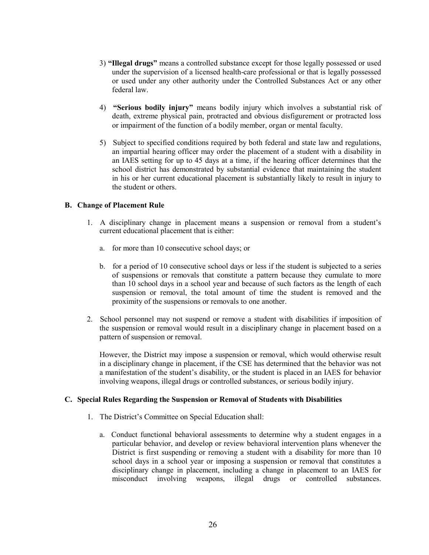- 3) "Illegal drugs" means a controlled substance except for those legally possessed or used under the supervision of a licensed health-care professional or that is legally possessed or used under any other authority under the Controlled Substances Act or any other federal law.
- 4) "Serious bodily injury" means bodily injury which involves a substantial risk of death, extreme physical pain, protracted and obvious disfigurement or protracted loss or impairment of the function of a bodily member, organ or mental faculty.
- 5) Subject to specified conditions required by both federal and state law and regulations, an impartial hearing officer may order the placement of a student with a disability in an IAES setting for up to 45 days at a time, if the hearing officer determines that the school district has demonstrated by substantial evidence that maintaining the student in his or her current educational placement is substantially likely to result in injury to the student or others.

# B. Change of Placement Rule

- 1. A disciplinary change in placement means a suspension or removal from a student's current educational placement that is either:
	- a. for more than 10 consecutive school days; or
	- b. for a period of 10 consecutive school days or less if the student is subjected to a series of suspensions or removals that constitute a pattern because they cumulate to more than 10 school days in a school year and because of such factors as the length of each suspension or removal, the total amount of time the student is removed and the proximity of the suspensions or removals to one another.
- 2. School personnel may not suspend or remove a student with disabilities if imposition of the suspension or removal would result in a disciplinary change in placement based on a pattern of suspension or removal.

However, the District may impose a suspension or removal, which would otherwise result in a disciplinary change in placement, if the CSE has determined that the behavior was not a manifestation of the student's disability, or the student is placed in an IAES for behavior involving weapons, illegal drugs or controlled substances, or serious bodily injury.

# C. Special Rules Regarding the Suspension or Removal of Students with Disabilities

- 1. The District's Committee on Special Education shall:
	- a. Conduct functional behavioral assessments to determine why a student engages in a particular behavior, and develop or review behavioral intervention plans whenever the District is first suspending or removing a student with a disability for more than 10 school days in a school year or imposing a suspension or removal that constitutes a disciplinary change in placement, including a change in placement to an IAES for misconduct involving weapons, illegal drugs or controlled substances.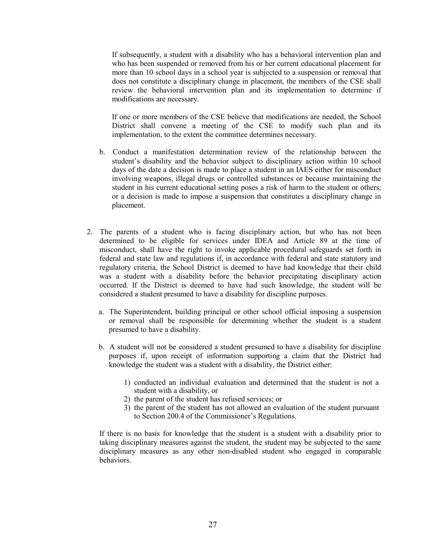If subsequently, a student with a disability who has a behavioral intervention plan and who has been suspended or removed from his or her current educational placement for more than 10 school days in a school year is subjected to a suspension or removal that does not constitute a disciplinary change in placement, the members of the CSE shall review the behavioral intervention plan and its implementation to determine if modifications are necessary.

If one or more members of the CSE believe that modifications are needed, the School District shall convene a meeting of the CSE to modify such plan and its implementation, to the extent the committee determines necessary.

- b. Conduct a manifestation determination review of the relationship between the student's disability and the behavior subject to disciplinary action within 10 school days of the date a decision is made to place a student in an IAES either for misconduct involving weapons, illegal drugs or controlled substances or because maintaining the student in his current educational setting poses a risk of harm to the student or others; or a decision is made to impose a suspension that constitutes a disciplinary change in placement.
- 2. The parents of a student who is facing disciplinary action, but who has not been determined to be eligible for services under IDEA and Article 89 at the time of misconduct, shall have the right to invoke applicable procedural safeguards set forth in federal and state law and regulations if, in accordance with federal and state statutory and regulatory criteria, the School District is deemed to have had knowledge that their child was a student with a disability before the behavior precipitating disciplinary action occurred. If the District is deemed to have had such knowledge, the student will be considered a student presumed to have a disability for discipline purposes.
	- a. The Superintendent, building principal or other school official imposing a suspension or removal shall be responsible for determining whether the student is a student presumed to have a disability.
	- b. A student will not be considered a student presumed to have a disability for discipline purposes if, upon receipt of information supporting a claim that the District had knowledge the student was a student with a disability, the District either:
		- 1) conducted an individual evaluation and determined that the student is not a student with a disability, or
		- 2) the parent of the student has refused services; or
		- 3) the parent of the student has not allowed an evaluation of the student pursuant to Section 200.4 of the Commissioner's Regulations.

If there is no basis for knowledge that the student is a student with a disability prior to taking disciplinary measures against the student, the student may be subjected to the same disciplinary measures as any other non-disabled student who engaged in comparable behaviors.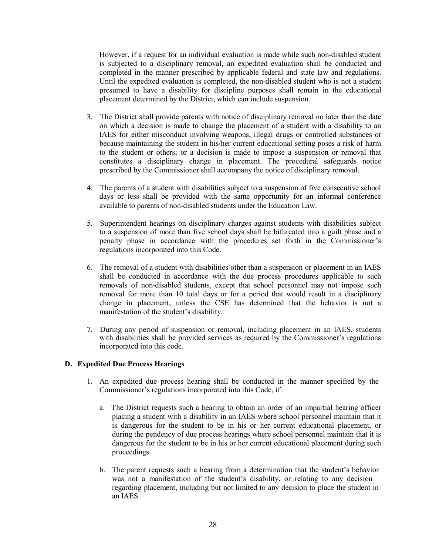However, if a request for an individual evaluation is made while such non-disabled student is subjected to a disciplinary removal, an expedited evaluation shall be conducted and completed in the manner prescribed by applicable federal and state law and regulations. Until the expedited evaluation is completed, the non-disabled student who is not a student presumed to have a disability for discipline purposes shall remain in the educational placement determined by the District, which can include suspension.

- 3. The District shall provide parents with notice of disciplinary removal no later than the date on which a decision is made to change the placement of a student with a disability to an IAES for either misconduct involving weapons, illegal drugs or controlled substances or because maintaining the student in his/her current educational setting poses a risk of harm to the student or others; or a decision is made to impose a suspension or removal that constitutes a disciplinary change in placement. The procedural safeguards notice prescribed by the Commissioner shall accompany the notice of disciplinary removal.
- 4. The parents of a student with disabilities subject to a suspension of five consecutive school days or less shall be provided with the same opportunity for an informal conference available to parents of non-disabled students under the Education Law.
- 5. Superintendent hearings on disciplinary charges against students with disabilities subject to a suspension of more than five school days shall be bifurcated into a guilt phase and a penalty phase in accordance with the procedures set forth in the Commissioner's regulations incorporated into this Code.
- 6. The removal of a student with disabilities other than a suspension or placement in an IAES shall be conducted in accordance with the due process procedures applicable to such removals of non-disabled students, except that school personnel may not impose such removal for more than 10 total days or for a period that would result in a disciplinary change in placement, unless the CSE has determined that the behavior is not a manifestation of the student's disability.
- 7. During any period of suspension or removal, including placement in an IAES, students with disabilities shall be provided services as required by the Commissioner's regulations incorporated into this code.

# D. Expedited Due Process Hearings

- 1. An expedited due process hearing shall be conducted in the manner specified by the Commissioner's regulations incorporated into this Code, if:
	- a. The District requests such a hearing to obtain an order of an impartial hearing officer placing a student with a disability in an IAES where school personnel maintain that it is dangerous for the student to be in his or her current educational placement, or during the pendency of due process hearings where school personnel maintain that it is dangerous for the student to be in his or her current educational placement during such proceedings.
	- b. The parent requests such a hearing from a determination that the student's behavior was not a manifestation of the student's disability, or relating to any decision regarding placement, including but not limited to any decision to place the student in an IAES.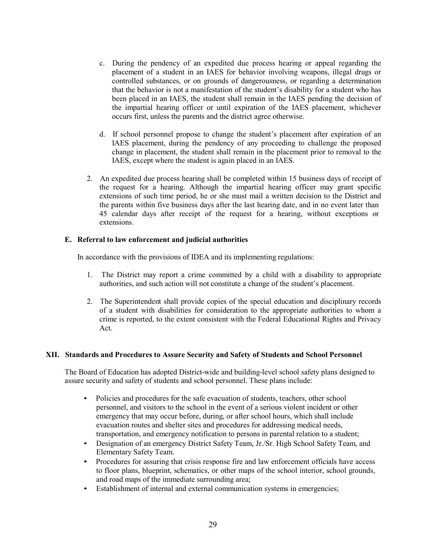- c. During the pendency of an expedited due process hearing or appeal regarding the placement of a student in an IAES for behavior involving weapons, illegal drugs or controlled substances, or on grounds of dangerousness, or regarding a determination that the behavior is not a manifestation of the student's disability for a student who has been placed in an IAES, the student shall remain in the IAES pending the decision of the impartial hearing officer or until expiration of the IAES placement, whichever occurs first, unless the parents and the district agree otherwise.
- d. If school personnel propose to change the student's placement after expiration of an IAES placement, during the pendency of any proceeding to challenge the proposed change in placement, the student shall remain in the placement prior to removal to the IAES, except where the student is again placed in an IAES.
- 2. An expedited due process hearing shall be completed within 15 business days of receipt of the request for a hearing. Although the impartial hearing officer may grant specific extensions of such time period, he or she must mail a written decision to the District and the parents within five business days after the last hearing date, and in no event later than 45 calendar days after receipt of the request for a hearing, without exceptions or extensions.

# E. Referral to law enforcement and judicial authorities

In accordance with the provisions of IDEA and its implementing regulations:

- 1. The District may report a crime committed by a child with a disability to appropriate authorities, and such action will not constitute a change of the student's placement.
- 2. The Superintendent shall provide copies of the special education and disciplinary records of a student with disabilities for consideration to the appropriate authorities to whom a crime is reported, to the extent consistent with the Federal Educational Rights and Privacy Act.

#### XII. Standards and Procedures to Assure Security and Safety of Students and School Personnel

The Board of Education has adopted District-wide and building-level school safety plans designed to assure security and safety of students and school personnel. These plans include:

- Policies and procedures for the safe evacuation of students, teachers, other school personnel, and visitors to the school in the event of a serious violent incident or other emergency that may occur before, during, or after school hours, which shall include evacuation routes and shelter sites and procedures for addressing medical needs, transportation, and emergency notification to persons in parental relation to a student;
- Designation of an emergency District Safety Team, Jr./Sr. High School Safety Team, and
- Procedures for assuring that crisis response fire and law enforcement officials have access to floor plans, blueprint, schematics, or other maps of the school interior, school grounds, and road maps of the immediate surrounding area;
- Establishment of internal and external communication systems in emergencies;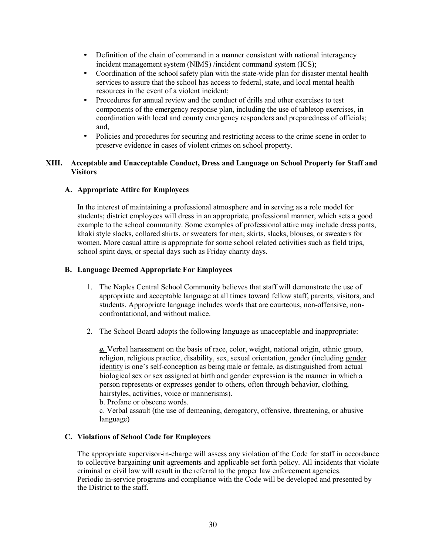- Definition of the chain of command in a manner consistent with national interagency
- incident management system (NIMS) /incident command system (ICS);<br>Coordination of the school safety plan with the state-wide plan for disaster mental health services to assure that the school has access to federal, state, and local mental health resources in the event of a violent incident;<br>• Procedures for annual review and the conduct of drills and other exercises to test
- components of the emergency response plan, including the use of tabletop exercises, in coordination with local and county emergency responders and preparedness of officials; and, • Policies and procedures for securing and restricting access to the crime scene in order to
- preserve evidence in cases of violent crimes on school property.

# XIII. Acceptable and Unacceptable Conduct, Dress and Language on School Property for Staff and **Visitors**

# A. Appropriate Attire for Employees

In the interest of maintaining a professional atmosphere and in serving as a role model for students; district employees will dress in an appropriate, professional manner, which sets a good example to the school community. Some examples of professional attire may include dress pants, khaki style slacks, collared shirts, or sweaters for men; skirts, slacks, blouses, or sweaters for women. More casual attire is appropriate for some school related activities such as field trips, school spirit days, or special days such as Friday charity days.

# B. Language Deemed Appropriate For Employees

- 1. The Naples Central School Community believes that staff will demonstrate the use of appropriate and acceptable language at all times toward fellow staff, parents, visitors, and students. Appropriate language includes words that are courteous, non-offensive, nonconfrontational, and without malice.
- 2. The School Board adopts the following language as unacceptable and inappropriate:

a. Verbal harassment on the basis of race, color, weight, national origin, ethnic group, religion, religious practice, disability, sex, sexual orientation, gender (including gender identity is one's self-conception as being male or female, as distinguished from actual biological sex or sex assigned at birth and gender expression is the manner in which a person represents or expresses gender to others, often through behavior, clothing, hairstyles, activities, voice or mannerisms).

b. Profane or obscene words.

c. Verbal assault (the use of demeaning, derogatory, offensive, threatening, or abusive language)

# C. Violations of School Code for Employees

The appropriate supervisor-in-charge will assess any violation of the Code for staff in accordance to collective bargaining unit agreements and applicable set forth policy. All incidents that violate criminal or civil law will result in the referral to the proper law enforcement agencies. Periodic in-service programs and compliance with the Code will be developed and presented by the District to the staff.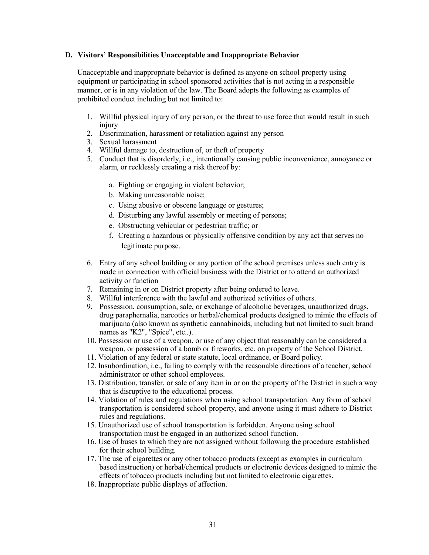#### D. Visitors' Responsibilities Unacceptable and Inappropriate Behavior

Unacceptable and inappropriate behavior is defined as anyone on school property using equipment or participating in school sponsored activities that is not acting in a responsible manner, or is in any violation of the law. The Board adopts the following as examples of prohibited conduct including but not limited to:

- 1. Willful physical injury of any person, or the threat to use force that would result in such injury
- 2. Discrimination, harassment or retaliation against any person
- 3. Sexual harassment
- 4. Willful damage to, destruction of, or theft of property
- 5. Conduct that is disorderly, i.e., intentionally causing public inconvenience, annoyance or alarm, or recklessly creating a risk thereof by:
	- a. Fighting or engaging in violent behavior;
	- b. Making unreasonable noise;
	- c. Using abusive or obscene language or gestures;
	- d. Disturbing any lawful assembly or meeting of persons;
	- e. Obstructing vehicular or pedestrian traffic; or
	- f. Creating a hazardous or physically offensive condition by any act that serves no legitimate purpose.
- 6. Entry of any school building or any portion of the school premises unless such entry is made in connection with official business with the District or to attend an authorized activity or function
- 7. Remaining in or on District property after being ordered to leave.
- 8. Willful interference with the lawful and authorized activities of others.
- 9. Possession, consumption, sale, or exchange of alcoholic beverages, unauthorized drugs, drug paraphernalia, narcotics or herbal/chemical products designed to mimic the effects of marijuana (also known as synthetic cannabinoids, including but not limited to such brand names as "K2", "Spice", etc..).
- 10. Possession or use of a weapon, or use of any object that reasonably can be considered a weapon, or possession of a bomb or fireworks, etc. on property of the School District.
- 11. Violation of any federal or state statute, local ordinance, or Board policy.
- 12. Insubordination, i.e., failing to comply with the reasonable directions of a teacher, school administrator or other school employees.
- 13. Distribution, transfer, or sale of any item in or on the property of the District in such a way that is disruptive to the educational process.
- 14. Violation of rules and regulations when using school transportation. Any form of school transportation is considered school property, and anyone using it must adhere to District rules and regulations.
- 15. Unauthorized use of school transportation is forbidden. Anyone using school transportation must be engaged in an authorized school function.
- 16. Use of buses to which they are not assigned without following the procedure established for their school building.
- 17. The use of cigarettes or any other tobacco products (except as examples in curriculum based instruction) or herbal/chemical products or electronic devices designed to mimic the effects of tobacco products including but not limited to electronic cigarettes.
- 18. Inappropriate public displays of affection.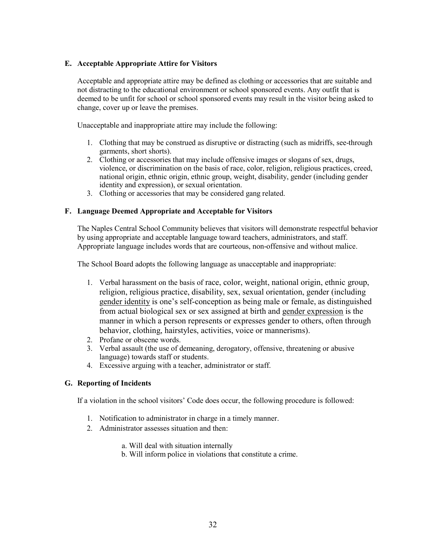# E. Acceptable Appropriate Attire for Visitors

Acceptable and appropriate attire may be defined as clothing or accessories that are suitable and not distracting to the educational environment or school sponsored events. Any outfit that is deemed to be unfit for school or school sponsored events may result in the visitor being asked to change, cover up or leave the premises.

Unacceptable and inappropriate attire may include the following:

- 1. Clothing that may be construed as disruptive or distracting (such as midriffs, see-through garments, short shorts).
- 2. Clothing or accessories that may include offensive images or slogans of sex, drugs, violence, or discrimination on the basis of race, color, religion, religious practices, creed, national origin, ethnic origin, ethnic group, weight, disability, gender (including gender identity and expression), or sexual orientation.
- 3. Clothing or accessories that may be considered gang related.

# F. Language Deemed Appropriate and Acceptable for Visitors

The Naples Central School Community believes that visitors will demonstrate respectful behavior by using appropriate and acceptable language toward teachers, administrators, and staff. Appropriate language includes words that are courteous, non-offensive and without malice.

The School Board adopts the following language as unacceptable and inappropriate:

- 1. Verbal harassment on the basis of race, color, weight, national origin, ethnic group, religion, religious practice, disability, sex, sexual orientation, gender (including gender identity is one's self-conception as being male or female, as distinguished from actual biological sex or sex assigned at birth and gender expression is the manner in which a person represents or expresses gender to others, often through behavior, clothing, hairstyles, activities, voice or mannerisms).
- 2. Profane or obscene words.
- 3. Verbal assault (the use of demeaning, derogatory, offensive, threatening or abusive language) towards staff or students.
- 4. Excessive arguing with a teacher, administrator or staff.

# G. Reporting of Incidents

If a violation in the school visitors' Code does occur, the following procedure is followed:

- 1. Notification to administrator in charge in a timely manner.
- 2. Administrator assesses situation and then:
	- a. Will deal with situation internally
	- b. Will inform police in violations that constitute a crime.